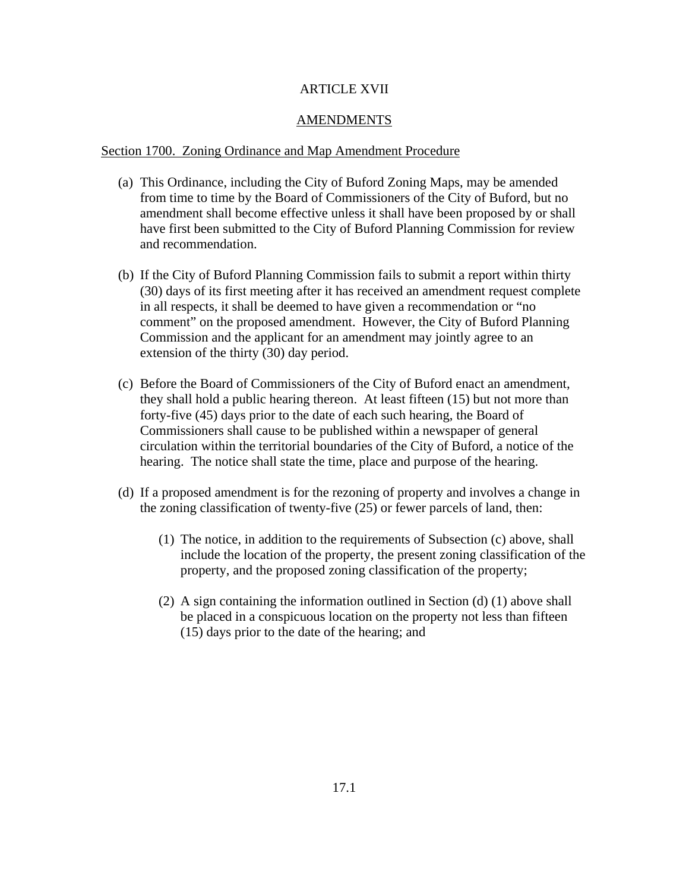## ARTICLE XVII

### AMENDMENTS

#### Section 1700. Zoning Ordinance and Map Amendment Procedure

- (a) This Ordinance, including the City of Buford Zoning Maps, may be amended from time to time by the Board of Commissioners of the City of Buford, but no amendment shall become effective unless it shall have been proposed by or shall have first been submitted to the City of Buford Planning Commission for review and recommendation.
- (b) If the City of Buford Planning Commission fails to submit a report within thirty (30) days of its first meeting after it has received an amendment request complete in all respects, it shall be deemed to have given a recommendation or "no comment" on the proposed amendment. However, the City of Buford Planning Commission and the applicant for an amendment may jointly agree to an extension of the thirty (30) day period.
- (c) Before the Board of Commissioners of the City of Buford enact an amendment, they shall hold a public hearing thereon. At least fifteen (15) but not more than forty-five (45) days prior to the date of each such hearing, the Board of Commissioners shall cause to be published within a newspaper of general circulation within the territorial boundaries of the City of Buford, a notice of the hearing. The notice shall state the time, place and purpose of the hearing.
- (d) If a proposed amendment is for the rezoning of property and involves a change in the zoning classification of twenty-five (25) or fewer parcels of land, then:
	- (1) The notice, in addition to the requirements of Subsection (c) above, shall include the location of the property, the present zoning classification of the property, and the proposed zoning classification of the property;
	- (2) A sign containing the information outlined in Section (d) (1) above shall be placed in a conspicuous location on the property not less than fifteen (15) days prior to the date of the hearing; and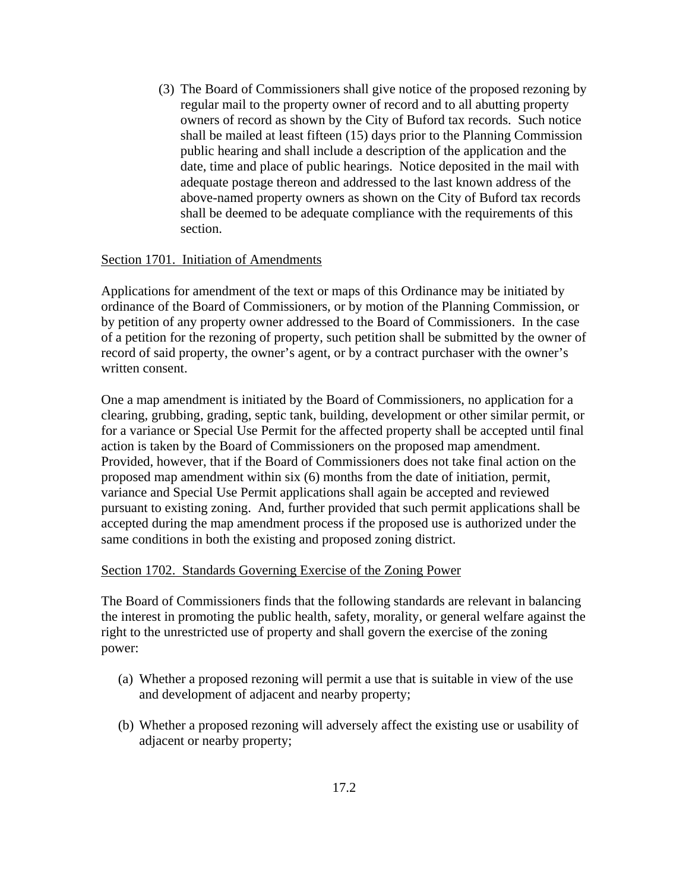(3) The Board of Commissioners shall give notice of the proposed rezoning by regular mail to the property owner of record and to all abutting property owners of record as shown by the City of Buford tax records. Such notice shall be mailed at least fifteen (15) days prior to the Planning Commission public hearing and shall include a description of the application and the date, time and place of public hearings. Notice deposited in the mail with adequate postage thereon and addressed to the last known address of the above-named property owners as shown on the City of Buford tax records shall be deemed to be adequate compliance with the requirements of this section.

### Section 1701. Initiation of Amendments

Applications for amendment of the text or maps of this Ordinance may be initiated by ordinance of the Board of Commissioners, or by motion of the Planning Commission, or by petition of any property owner addressed to the Board of Commissioners. In the case of a petition for the rezoning of property, such petition shall be submitted by the owner of record of said property, the owner's agent, or by a contract purchaser with the owner's written consent.

One a map amendment is initiated by the Board of Commissioners, no application for a clearing, grubbing, grading, septic tank, building, development or other similar permit, or for a variance or Special Use Permit for the affected property shall be accepted until final action is taken by the Board of Commissioners on the proposed map amendment. Provided, however, that if the Board of Commissioners does not take final action on the proposed map amendment within six (6) months from the date of initiation, permit, variance and Special Use Permit applications shall again be accepted and reviewed pursuant to existing zoning. And, further provided that such permit applications shall be accepted during the map amendment process if the proposed use is authorized under the same conditions in both the existing and proposed zoning district.

#### Section 1702. Standards Governing Exercise of the Zoning Power

The Board of Commissioners finds that the following standards are relevant in balancing the interest in promoting the public health, safety, morality, or general welfare against the right to the unrestricted use of property and shall govern the exercise of the zoning power:

- (a) Whether a proposed rezoning will permit a use that is suitable in view of the use and development of adjacent and nearby property;
- (b) Whether a proposed rezoning will adversely affect the existing use or usability of adjacent or nearby property;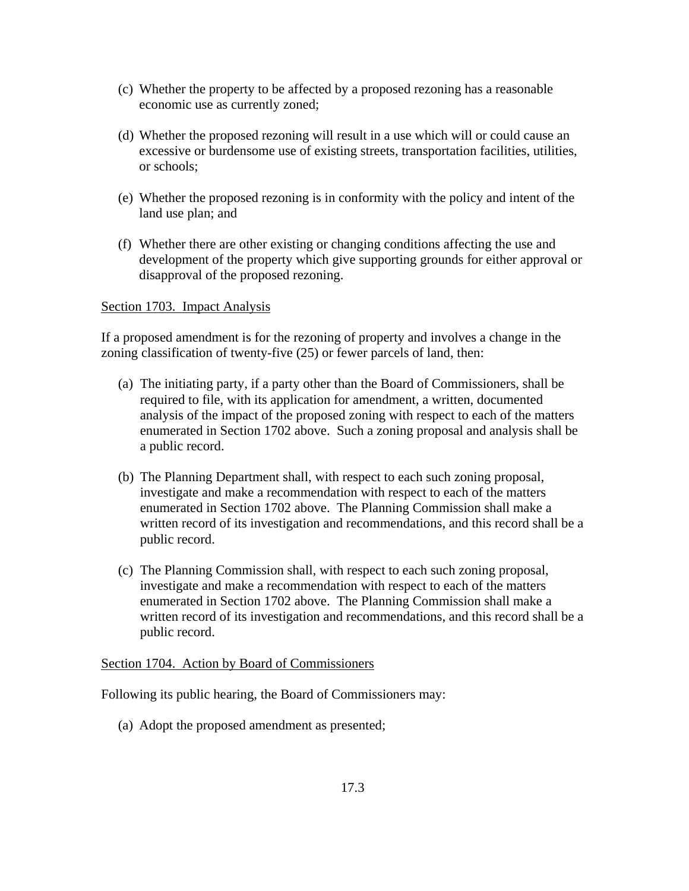- (c) Whether the property to be affected by a proposed rezoning has a reasonable economic use as currently zoned;
- (d) Whether the proposed rezoning will result in a use which will or could cause an excessive or burdensome use of existing streets, transportation facilities, utilities, or schools;
- (e) Whether the proposed rezoning is in conformity with the policy and intent of the land use plan; and
- (f) Whether there are other existing or changing conditions affecting the use and development of the property which give supporting grounds for either approval or disapproval of the proposed rezoning.

## Section 1703. Impact Analysis

If a proposed amendment is for the rezoning of property and involves a change in the zoning classification of twenty-five (25) or fewer parcels of land, then:

- (a) The initiating party, if a party other than the Board of Commissioners, shall be required to file, with its application for amendment, a written, documented analysis of the impact of the proposed zoning with respect to each of the matters enumerated in Section 1702 above. Such a zoning proposal and analysis shall be a public record.
- (b) The Planning Department shall, with respect to each such zoning proposal, investigate and make a recommendation with respect to each of the matters enumerated in Section 1702 above. The Planning Commission shall make a written record of its investigation and recommendations, and this record shall be a public record.
- (c) The Planning Commission shall, with respect to each such zoning proposal, investigate and make a recommendation with respect to each of the matters enumerated in Section 1702 above. The Planning Commission shall make a written record of its investigation and recommendations, and this record shall be a public record.

## Section 1704. Action by Board of Commissioners

Following its public hearing, the Board of Commissioners may:

(a) Adopt the proposed amendment as presented;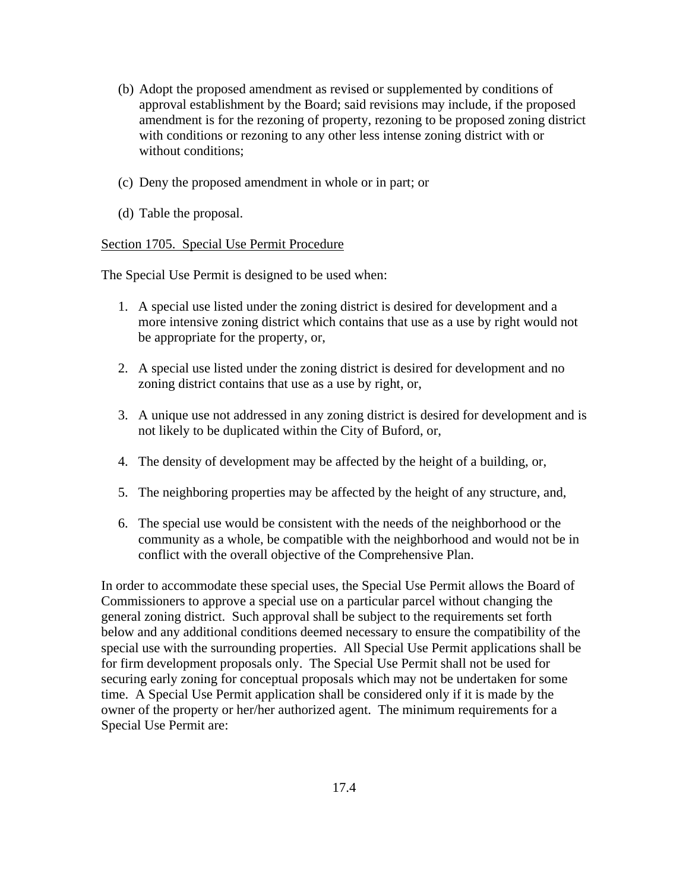- (b) Adopt the proposed amendment as revised or supplemented by conditions of approval establishment by the Board; said revisions may include, if the proposed amendment is for the rezoning of property, rezoning to be proposed zoning district with conditions or rezoning to any other less intense zoning district with or without conditions;
- (c) Deny the proposed amendment in whole or in part; or
- (d) Table the proposal.

#### Section 1705. Special Use Permit Procedure

The Special Use Permit is designed to be used when:

- 1. A special use listed under the zoning district is desired for development and a more intensive zoning district which contains that use as a use by right would not be appropriate for the property, or,
- 2. A special use listed under the zoning district is desired for development and no zoning district contains that use as a use by right, or,
- 3. A unique use not addressed in any zoning district is desired for development and is not likely to be duplicated within the City of Buford, or,
- 4. The density of development may be affected by the height of a building, or,
- 5. The neighboring properties may be affected by the height of any structure, and,
- 6. The special use would be consistent with the needs of the neighborhood or the community as a whole, be compatible with the neighborhood and would not be in conflict with the overall objective of the Comprehensive Plan.

In order to accommodate these special uses, the Special Use Permit allows the Board of Commissioners to approve a special use on a particular parcel without changing the general zoning district. Such approval shall be subject to the requirements set forth below and any additional conditions deemed necessary to ensure the compatibility of the special use with the surrounding properties. All Special Use Permit applications shall be for firm development proposals only. The Special Use Permit shall not be used for securing early zoning for conceptual proposals which may not be undertaken for some time. A Special Use Permit application shall be considered only if it is made by the owner of the property or her/her authorized agent. The minimum requirements for a Special Use Permit are: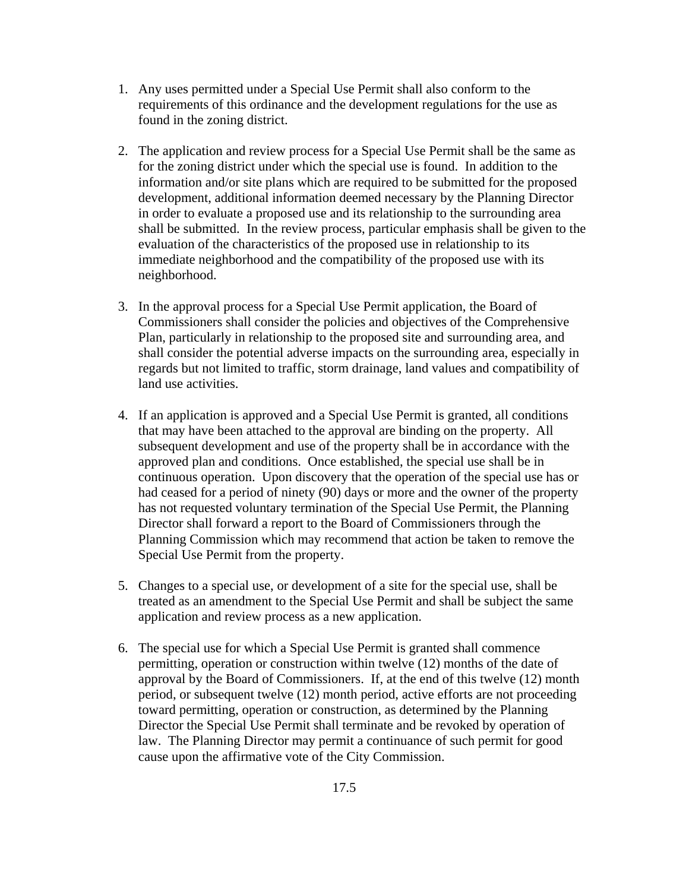- 1. Any uses permitted under a Special Use Permit shall also conform to the requirements of this ordinance and the development regulations for the use as found in the zoning district.
- 2. The application and review process for a Special Use Permit shall be the same as for the zoning district under which the special use is found. In addition to the information and/or site plans which are required to be submitted for the proposed development, additional information deemed necessary by the Planning Director in order to evaluate a proposed use and its relationship to the surrounding area shall be submitted. In the review process, particular emphasis shall be given to the evaluation of the characteristics of the proposed use in relationship to its immediate neighborhood and the compatibility of the proposed use with its neighborhood.
- 3. In the approval process for a Special Use Permit application, the Board of Commissioners shall consider the policies and objectives of the Comprehensive Plan, particularly in relationship to the proposed site and surrounding area, and shall consider the potential adverse impacts on the surrounding area, especially in regards but not limited to traffic, storm drainage, land values and compatibility of land use activities.
- 4. If an application is approved and a Special Use Permit is granted, all conditions that may have been attached to the approval are binding on the property. All subsequent development and use of the property shall be in accordance with the approved plan and conditions. Once established, the special use shall be in continuous operation. Upon discovery that the operation of the special use has or had ceased for a period of ninety (90) days or more and the owner of the property has not requested voluntary termination of the Special Use Permit, the Planning Director shall forward a report to the Board of Commissioners through the Planning Commission which may recommend that action be taken to remove the Special Use Permit from the property.
- 5. Changes to a special use, or development of a site for the special use, shall be treated as an amendment to the Special Use Permit and shall be subject the same application and review process as a new application.
- 6. The special use for which a Special Use Permit is granted shall commence permitting, operation or construction within twelve (12) months of the date of approval by the Board of Commissioners. If, at the end of this twelve (12) month period, or subsequent twelve (12) month period, active efforts are not proceeding toward permitting, operation or construction, as determined by the Planning Director the Special Use Permit shall terminate and be revoked by operation of law. The Planning Director may permit a continuance of such permit for good cause upon the affirmative vote of the City Commission.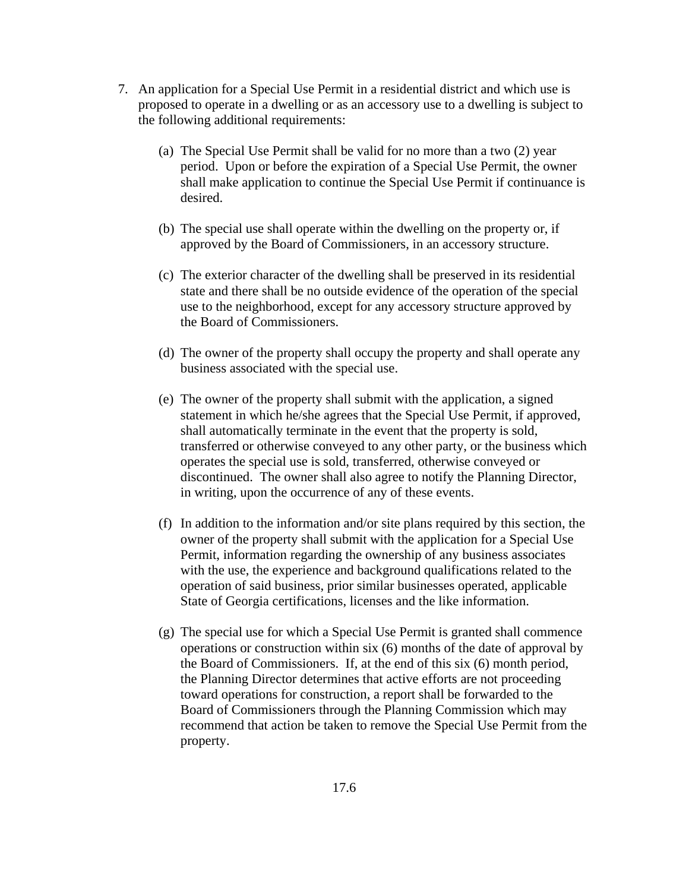- 7. An application for a Special Use Permit in a residential district and which use is proposed to operate in a dwelling or as an accessory use to a dwelling is subject to the following additional requirements:
	- (a) The Special Use Permit shall be valid for no more than a two (2) year period. Upon or before the expiration of a Special Use Permit, the owner shall make application to continue the Special Use Permit if continuance is desired.
	- (b) The special use shall operate within the dwelling on the property or, if approved by the Board of Commissioners, in an accessory structure.
	- (c) The exterior character of the dwelling shall be preserved in its residential state and there shall be no outside evidence of the operation of the special use to the neighborhood, except for any accessory structure approved by the Board of Commissioners.
	- (d) The owner of the property shall occupy the property and shall operate any business associated with the special use.
	- (e) The owner of the property shall submit with the application, a signed statement in which he/she agrees that the Special Use Permit, if approved, shall automatically terminate in the event that the property is sold, transferred or otherwise conveyed to any other party, or the business which operates the special use is sold, transferred, otherwise conveyed or discontinued. The owner shall also agree to notify the Planning Director, in writing, upon the occurrence of any of these events.
	- (f) In addition to the information and/or site plans required by this section, the owner of the property shall submit with the application for a Special Use Permit, information regarding the ownership of any business associates with the use, the experience and background qualifications related to the operation of said business, prior similar businesses operated, applicable State of Georgia certifications, licenses and the like information.
	- (g) The special use for which a Special Use Permit is granted shall commence operations or construction within six (6) months of the date of approval by the Board of Commissioners. If, at the end of this six (6) month period, the Planning Director determines that active efforts are not proceeding toward operations for construction, a report shall be forwarded to the Board of Commissioners through the Planning Commission which may recommend that action be taken to remove the Special Use Permit from the property.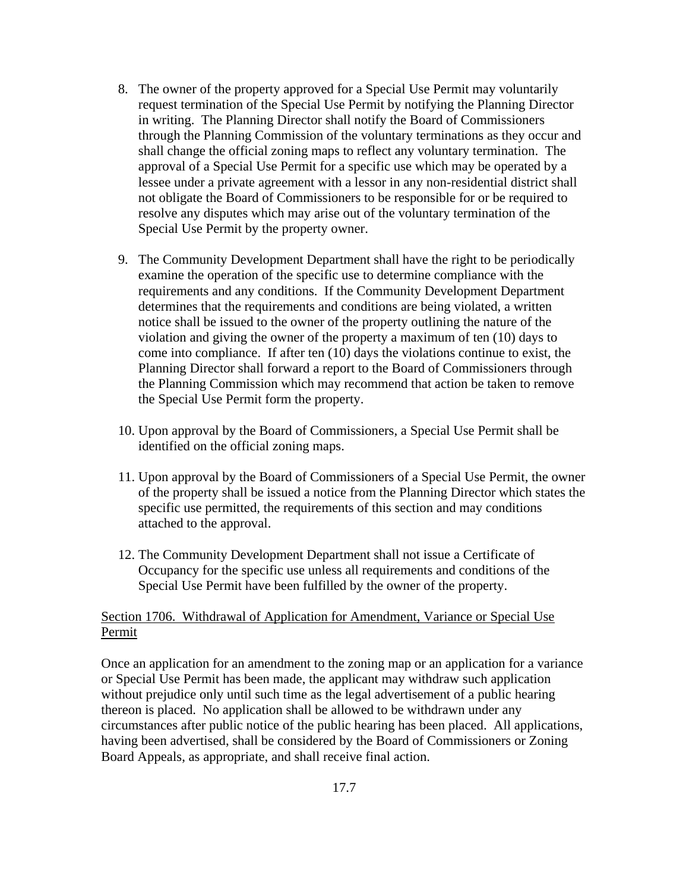- 8. The owner of the property approved for a Special Use Permit may voluntarily request termination of the Special Use Permit by notifying the Planning Director in writing. The Planning Director shall notify the Board of Commissioners through the Planning Commission of the voluntary terminations as they occur and shall change the official zoning maps to reflect any voluntary termination. The approval of a Special Use Permit for a specific use which may be operated by a lessee under a private agreement with a lessor in any non-residential district shall not obligate the Board of Commissioners to be responsible for or be required to resolve any disputes which may arise out of the voluntary termination of the Special Use Permit by the property owner.
- 9. The Community Development Department shall have the right to be periodically examine the operation of the specific use to determine compliance with the requirements and any conditions. If the Community Development Department determines that the requirements and conditions are being violated, a written notice shall be issued to the owner of the property outlining the nature of the violation and giving the owner of the property a maximum of ten (10) days to come into compliance. If after ten (10) days the violations continue to exist, the Planning Director shall forward a report to the Board of Commissioners through the Planning Commission which may recommend that action be taken to remove the Special Use Permit form the property.
- 10. Upon approval by the Board of Commissioners, a Special Use Permit shall be identified on the official zoning maps.
- 11. Upon approval by the Board of Commissioners of a Special Use Permit, the owner of the property shall be issued a notice from the Planning Director which states the specific use permitted, the requirements of this section and may conditions attached to the approval.
- 12. The Community Development Department shall not issue a Certificate of Occupancy for the specific use unless all requirements and conditions of the Special Use Permit have been fulfilled by the owner of the property.

## Section 1706. Withdrawal of Application for Amendment, Variance or Special Use Permit

Once an application for an amendment to the zoning map or an application for a variance or Special Use Permit has been made, the applicant may withdraw such application without prejudice only until such time as the legal advertisement of a public hearing thereon is placed. No application shall be allowed to be withdrawn under any circumstances after public notice of the public hearing has been placed. All applications, having been advertised, shall be considered by the Board of Commissioners or Zoning Board Appeals, as appropriate, and shall receive final action.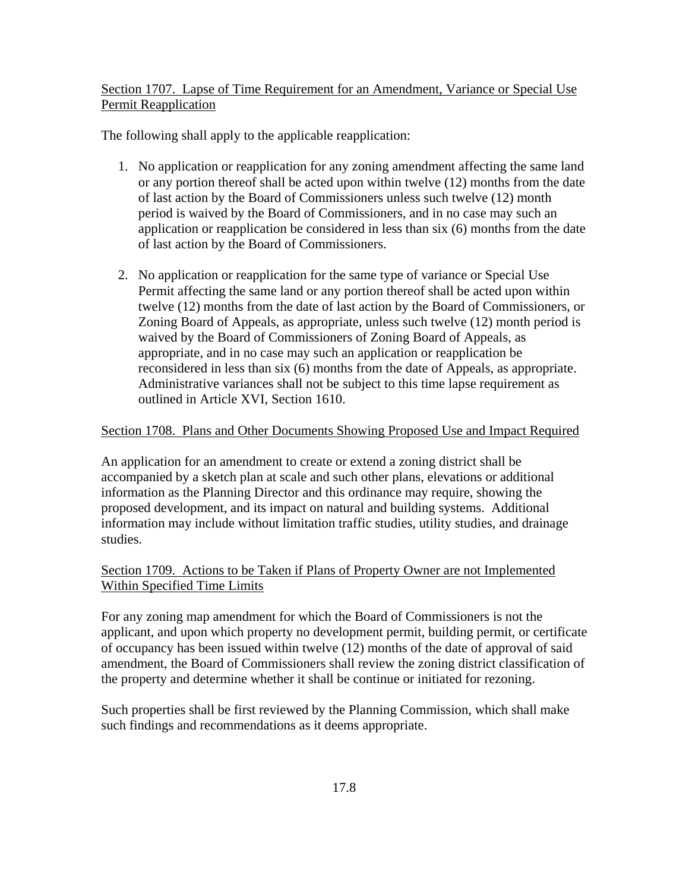Section 1707. Lapse of Time Requirement for an Amendment, Variance or Special Use Permit Reapplication

The following shall apply to the applicable reapplication:

- 1. No application or reapplication for any zoning amendment affecting the same land or any portion thereof shall be acted upon within twelve (12) months from the date of last action by the Board of Commissioners unless such twelve (12) month period is waived by the Board of Commissioners, and in no case may such an application or reapplication be considered in less than six (6) months from the date of last action by the Board of Commissioners.
- 2. No application or reapplication for the same type of variance or Special Use Permit affecting the same land or any portion thereof shall be acted upon within twelve (12) months from the date of last action by the Board of Commissioners, or Zoning Board of Appeals, as appropriate, unless such twelve (12) month period is waived by the Board of Commissioners of Zoning Board of Appeals, as appropriate, and in no case may such an application or reapplication be reconsidered in less than six (6) months from the date of Appeals, as appropriate. Administrative variances shall not be subject to this time lapse requirement as outlined in Article XVI, Section 1610.

# Section 1708. Plans and Other Documents Showing Proposed Use and Impact Required

An application for an amendment to create or extend a zoning district shall be accompanied by a sketch plan at scale and such other plans, elevations or additional information as the Planning Director and this ordinance may require, showing the proposed development, and its impact on natural and building systems. Additional information may include without limitation traffic studies, utility studies, and drainage studies.

# Section 1709. Actions to be Taken if Plans of Property Owner are not Implemented Within Specified Time Limits

For any zoning map amendment for which the Board of Commissioners is not the applicant, and upon which property no development permit, building permit, or certificate of occupancy has been issued within twelve (12) months of the date of approval of said amendment, the Board of Commissioners shall review the zoning district classification of the property and determine whether it shall be continue or initiated for rezoning.

Such properties shall be first reviewed by the Planning Commission, which shall make such findings and recommendations as it deems appropriate.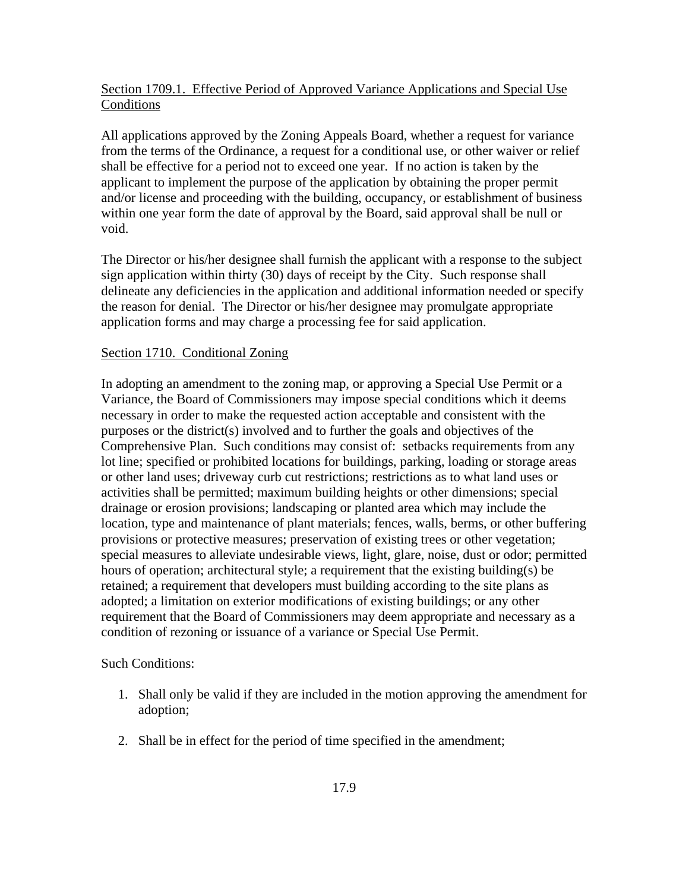## Section 1709.1. Effective Period of Approved Variance Applications and Special Use Conditions

All applications approved by the Zoning Appeals Board, whether a request for variance from the terms of the Ordinance, a request for a conditional use, or other waiver or relief shall be effective for a period not to exceed one year. If no action is taken by the applicant to implement the purpose of the application by obtaining the proper permit and/or license and proceeding with the building, occupancy, or establishment of business within one year form the date of approval by the Board, said approval shall be null or void.

The Director or his/her designee shall furnish the applicant with a response to the subject sign application within thirty (30) days of receipt by the City. Such response shall delineate any deficiencies in the application and additional information needed or specify the reason for denial. The Director or his/her designee may promulgate appropriate application forms and may charge a processing fee for said application.

#### Section 1710. Conditional Zoning

In adopting an amendment to the zoning map, or approving a Special Use Permit or a Variance, the Board of Commissioners may impose special conditions which it deems necessary in order to make the requested action acceptable and consistent with the purposes or the district(s) involved and to further the goals and objectives of the Comprehensive Plan. Such conditions may consist of: setbacks requirements from any lot line; specified or prohibited locations for buildings, parking, loading or storage areas or other land uses; driveway curb cut restrictions; restrictions as to what land uses or activities shall be permitted; maximum building heights or other dimensions; special drainage or erosion provisions; landscaping or planted area which may include the location, type and maintenance of plant materials; fences, walls, berms, or other buffering provisions or protective measures; preservation of existing trees or other vegetation; special measures to alleviate undesirable views, light, glare, noise, dust or odor; permitted hours of operation; architectural style; a requirement that the existing building(s) be retained; a requirement that developers must building according to the site plans as adopted; a limitation on exterior modifications of existing buildings; or any other requirement that the Board of Commissioners may deem appropriate and necessary as a condition of rezoning or issuance of a variance or Special Use Permit.

Such Conditions:

- 1. Shall only be valid if they are included in the motion approving the amendment for adoption;
- 2. Shall be in effect for the period of time specified in the amendment;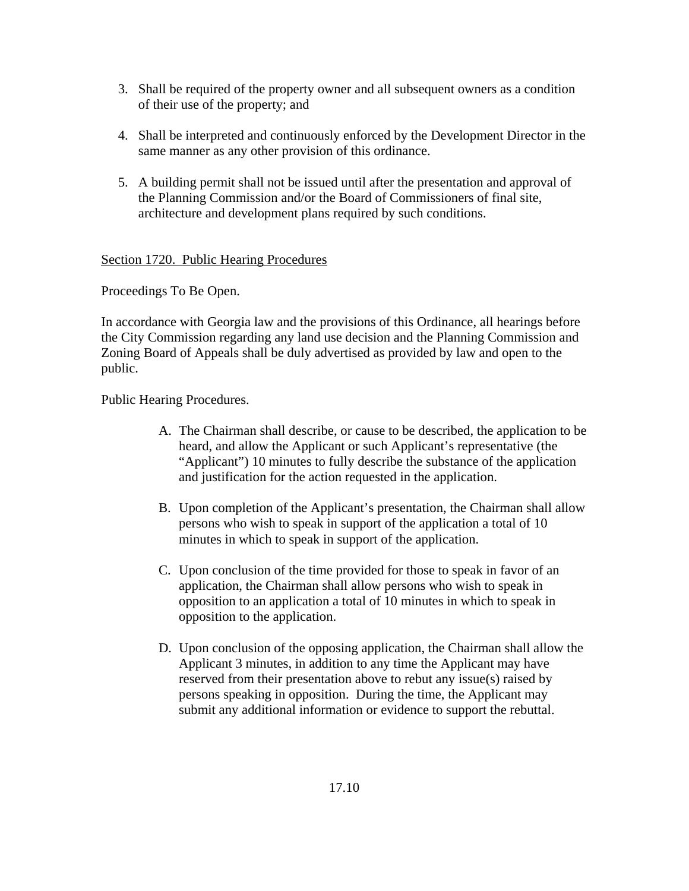- 3. Shall be required of the property owner and all subsequent owners as a condition of their use of the property; and
- 4. Shall be interpreted and continuously enforced by the Development Director in the same manner as any other provision of this ordinance.
- 5. A building permit shall not be issued until after the presentation and approval of the Planning Commission and/or the Board of Commissioners of final site, architecture and development plans required by such conditions.

## Section 1720. Public Hearing Procedures

Proceedings To Be Open.

In accordance with Georgia law and the provisions of this Ordinance, all hearings before the City Commission regarding any land use decision and the Planning Commission and Zoning Board of Appeals shall be duly advertised as provided by law and open to the public.

Public Hearing Procedures.

- A. The Chairman shall describe, or cause to be described, the application to be heard, and allow the Applicant or such Applicant's representative (the "Applicant") 10 minutes to fully describe the substance of the application and justification for the action requested in the application.
- B. Upon completion of the Applicant's presentation, the Chairman shall allow persons who wish to speak in support of the application a total of 10 minutes in which to speak in support of the application.
- C. Upon conclusion of the time provided for those to speak in favor of an application, the Chairman shall allow persons who wish to speak in opposition to an application a total of 10 minutes in which to speak in opposition to the application.
- D. Upon conclusion of the opposing application, the Chairman shall allow the Applicant 3 minutes, in addition to any time the Applicant may have reserved from their presentation above to rebut any issue(s) raised by persons speaking in opposition. During the time, the Applicant may submit any additional information or evidence to support the rebuttal.